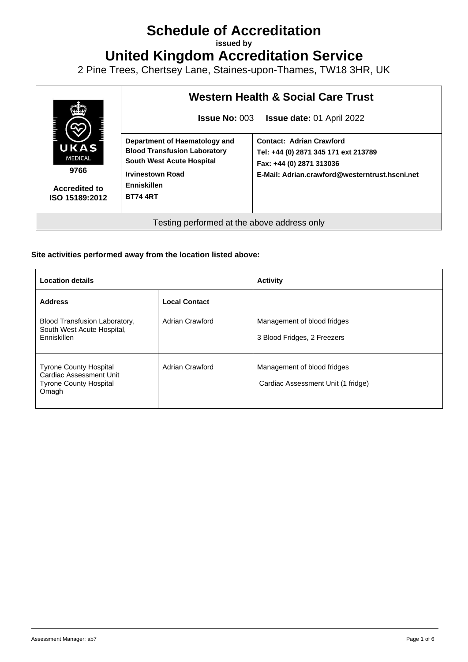# **Schedule of Accreditation**

**issued by**

**United Kingdom Accreditation Service**

2 Pine Trees, Chertsey Lane, Staines-upon-Thames, TW18 3HR, UK



#### **Site activities performed away from the location listed above:**

| <b>Location details</b>                                                                                   |                      | <b>Activity</b>                                                   |
|-----------------------------------------------------------------------------------------------------------|----------------------|-------------------------------------------------------------------|
| <b>Address</b>                                                                                            | <b>Local Contact</b> |                                                                   |
| Blood Transfusion Laboratory,<br>South West Acute Hospital,<br>Enniskillen                                | Adrian Crawford      | Management of blood fridges<br>3 Blood Fridges, 2 Freezers        |
| <b>Tyrone County Hospital</b><br><b>Cardiac Assessment Unit</b><br><b>Tyrone County Hospital</b><br>Omagh | Adrian Crawford      | Management of blood fridges<br>Cardiac Assessment Unit (1 fridge) |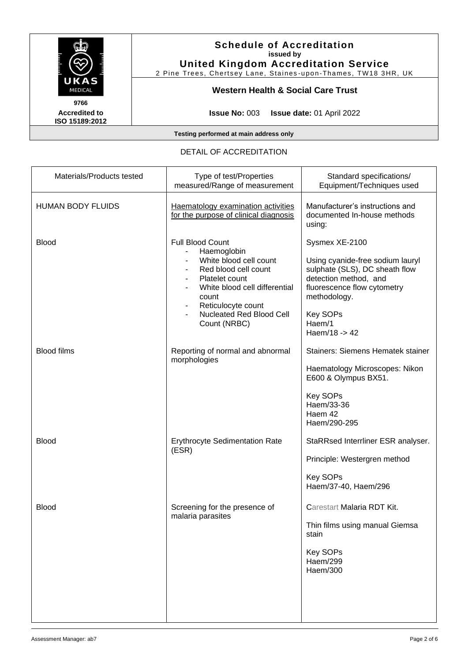

2 Pine Trees, Chertsey Lane, Staines -upon-Thames, TW18 3HR, UK

# **Western Health & Social Care Trust**

**Accredited to ISO 15189:2012** 

**Issue No:** 003 **Issue date:** 01 April 2022

**Testing performed at main address only**

#### DETAIL OF ACCREDITATION

| Materials/Products tested | Type of test/Properties<br>measured/Range of measurement                                                                                                                                                                      | Standard specifications/<br>Equipment/Techniques used                                                                                                                                                      |
|---------------------------|-------------------------------------------------------------------------------------------------------------------------------------------------------------------------------------------------------------------------------|------------------------------------------------------------------------------------------------------------------------------------------------------------------------------------------------------------|
| <b>HUMAN BODY FLUIDS</b>  | Haematology examination activities<br>for the purpose of clinical diagnosis                                                                                                                                                   | Manufacturer's instructions and<br>documented In-house methods<br>using:                                                                                                                                   |
| <b>Blood</b>              | <b>Full Blood Count</b><br>Haemoglobin<br>White blood cell count<br>Red blood cell count<br>Platelet count<br>White blood cell differential<br>count<br>Reticulocyte count<br><b>Nucleated Red Blood Cell</b><br>Count (NRBC) | Sysmex XE-2100<br>Using cyanide-free sodium lauryl<br>sulphate (SLS), DC sheath flow<br>detection method, and<br>fluorescence flow cytometry<br>methodology.<br><b>Key SOPs</b><br>Haem/1<br>Haem/18 -> 42 |
| <b>Blood films</b>        | Reporting of normal and abnormal<br>morphologies                                                                                                                                                                              | Stainers: Siemens Hematek stainer<br>Haematology Microscopes: Nikon<br>E600 & Olympus BX51.<br><b>Key SOPs</b><br>Haem/33-36<br>Haem 42<br>Haem/290-295                                                    |
| <b>Blood</b>              | <b>Erythrocyte Sedimentation Rate</b><br>(ESR)                                                                                                                                                                                | StaRRsed Interrliner ESR analyser.<br>Principle: Westergren method<br><b>Key SOPs</b><br>Haem/37-40, Haem/296                                                                                              |
| Blood                     | Screening for the presence of<br>malaria parasites                                                                                                                                                                            | Carestart Malaria RDT Kit.<br>Thin films using manual Giemsa<br>stain<br><b>Key SOPs</b><br>Haem/299<br>Haem/300                                                                                           |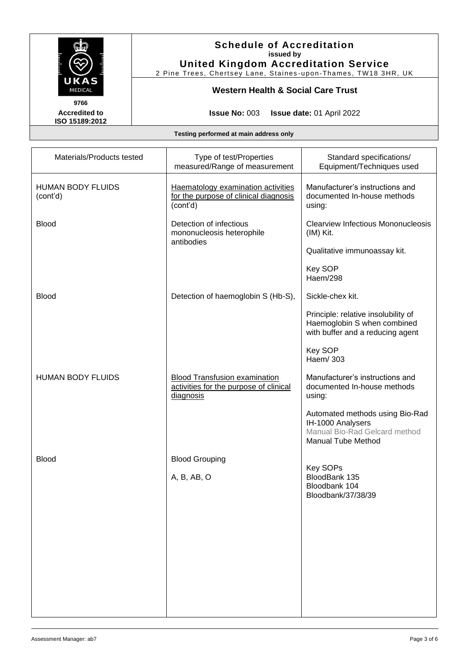

2 Pine Trees, Chertsey Lane, Staines -upon-Thames, TW18 3HR, UK

# **Western Health & Social Care Trust**

**Accredited to ISO 15189:2012** 

**Issue No:** 003 **Issue date:** 01 April 2022

| Materials/Products tested            | Type of test/Properties<br>measured/Range of measurement                                    | Standard specifications/<br>Equipment/Techniques used                                                              |
|--------------------------------------|---------------------------------------------------------------------------------------------|--------------------------------------------------------------------------------------------------------------------|
| <b>HUMAN BODY FLUIDS</b><br>(cont'd) | Haematology examination activities<br>for the purpose of clinical diagnosis<br>(cont'd)     | Manufacturer's instructions and<br>documented In-house methods<br>using:                                           |
| <b>Blood</b>                         | Detection of infectious<br>mononucleosis heterophile<br>antibodies                          | <b>Clearview Infectious Mononucleosis</b><br>(IM) Kit.                                                             |
|                                      |                                                                                             | Qualitative immunoassay kit.                                                                                       |
|                                      |                                                                                             | <b>Key SOP</b><br>Haem/298                                                                                         |
| <b>Blood</b>                         | Detection of haemoglobin S (Hb-S),                                                          | Sickle-chex kit.                                                                                                   |
|                                      |                                                                                             | Principle: relative insolubility of<br>Haemoglobin S when combined<br>with buffer and a reducing agent             |
|                                      |                                                                                             | Key SOP<br>Haem/ 303                                                                                               |
| <b>HUMAN BODY FLUIDS</b>             | <b>Blood Transfusion examination</b><br>activities for the purpose of clinical<br>diagnosis | Manufacturer's instructions and<br>documented In-house methods<br>using:                                           |
|                                      |                                                                                             | Automated methods using Bio-Rad<br>IH-1000 Analysers<br>Manual Bio-Rad Gelcard method<br><b>Manual Tube Method</b> |
| <b>Blood</b>                         | <b>Blood Grouping</b>                                                                       |                                                                                                                    |
|                                      | A, B, AB, O                                                                                 | Key SOPs<br>BloodBank 135<br>Bloodbank 104<br>Bloodbank/37/38/39                                                   |
|                                      |                                                                                             |                                                                                                                    |
|                                      |                                                                                             |                                                                                                                    |
|                                      |                                                                                             |                                                                                                                    |
|                                      |                                                                                             |                                                                                                                    |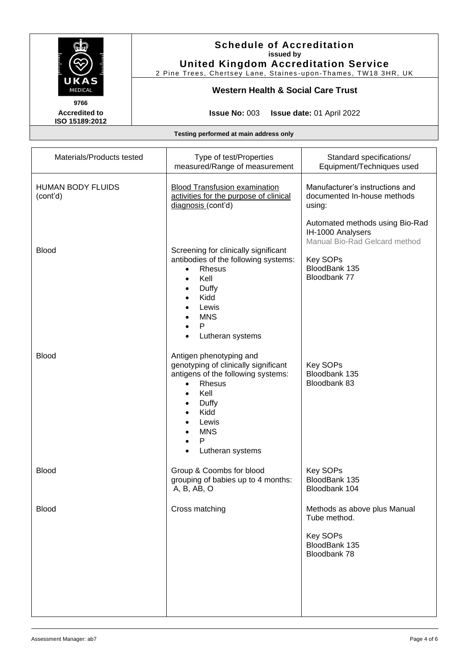

2 Pine Trees, Chertsey Lane, Staines -upon-Thames, TW18 3HR, UK

#### **Western Health & Social Care Trust**

**Accredited to ISO 15189:2012** 

**Issue No:** 003 **Issue date:** 01 April 2022

| Materials/Products tested            | Type of test/Properties<br>measured/Range of measurement                                                                                                                                                                       | Standard specifications/<br>Equipment/Techniques used                                            |
|--------------------------------------|--------------------------------------------------------------------------------------------------------------------------------------------------------------------------------------------------------------------------------|--------------------------------------------------------------------------------------------------|
| <b>HUMAN BODY FLUIDS</b><br>(cont'd) | <b>Blood Transfusion examination</b><br>activities for the purpose of clinical<br>diagnosis (cont'd)                                                                                                                           | Manufacturer's instructions and<br>documented In-house methods<br>using:                         |
|                                      |                                                                                                                                                                                                                                | Automated methods using Bio-Rad<br>IH-1000 Analysers<br>Manual Bio-Rad Gelcard method            |
| <b>Blood</b>                         | Screening for clinically significant<br>antibodies of the following systems:<br>Rhesus<br>$\bullet$<br>Kell<br>$\bullet$<br>Duffy<br>$\bullet$<br>Kidd<br>Lewis<br><b>MNS</b><br>$\mathsf{P}$<br>Lutheran systems<br>$\bullet$ | Key SOPs<br>BloodBank 135<br>Bloodbank 77                                                        |
| <b>Blood</b>                         | Antigen phenotyping and<br>genotyping of clinically significant<br>antigens of the following systems:<br>Rhesus<br>$\bullet$<br>Kell<br>Duffy<br>Kidd<br>Lewis<br><b>MNS</b><br>P<br>Lutheran systems<br>٠                     | <b>Key SOPs</b><br>Bloodbank 135<br>Bloodbank 83                                                 |
| <b>Blood</b>                         | Group & Coombs for blood<br>grouping of babies up to 4 months:<br>A, B, AB, O                                                                                                                                                  | <b>Key SOPs</b><br>BloodBank 135<br>Bloodbank 104                                                |
| <b>Blood</b>                         | Cross matching                                                                                                                                                                                                                 | Methods as above plus Manual<br>Tube method.<br><b>Key SOPs</b><br>BloodBank 135<br>Bloodbank 78 |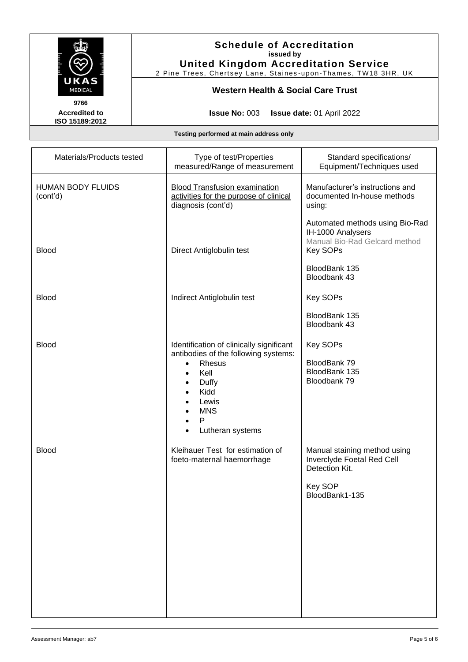

2 Pine Trees, Chertsey Lane, Staines -upon-Thames, TW18 3HR, UK

#### **Western Health & Social Care Trust**

**Accredited to ISO 15189:2012** 

**Issue No:** 003 **Issue date:** 01 April 2022

| Materials/Products tested            | Type of test/Properties<br>measured/Range of measurement                                                                                                                                                                                        | Standard specifications/<br>Equipment/Techniques used                                                     |
|--------------------------------------|-------------------------------------------------------------------------------------------------------------------------------------------------------------------------------------------------------------------------------------------------|-----------------------------------------------------------------------------------------------------------|
| <b>HUMAN BODY FLUIDS</b><br>(cont'd) | <b>Blood Transfusion examination</b><br>activities for the purpose of clinical<br>diagnosis (cont'd)                                                                                                                                            | Manufacturer's instructions and<br>documented In-house methods<br>using:                                  |
| <b>Blood</b>                         | Direct Antiglobulin test                                                                                                                                                                                                                        | Automated methods using Bio-Rad<br>IH-1000 Analysers<br>Manual Bio-Rad Gelcard method<br><b>Key SOPs</b>  |
|                                      |                                                                                                                                                                                                                                                 | BloodBank 135<br>Bloodbank 43                                                                             |
| <b>Blood</b>                         | Indirect Antiglobulin test                                                                                                                                                                                                                      | Key SOPs                                                                                                  |
|                                      |                                                                                                                                                                                                                                                 | BloodBank 135<br>Bloodbank 43                                                                             |
| <b>Blood</b>                         | Identification of clinically significant<br>antibodies of the following systems:<br>Rhesus<br>$\bullet$<br>Kell<br>$\bullet$<br>Duffy<br>$\bullet$<br>Kidd<br>Lewis<br><b>MNS</b><br>$\mathsf{P}$<br>$\bullet$<br>Lutheran systems<br>$\bullet$ | Key SOPs<br>BloodBank 79<br>BloodBank 135<br>Bloodbank 79                                                 |
| <b>Blood</b>                         | Kleihauer Test for estimation of<br>foeto-maternal haemorrhage                                                                                                                                                                                  | Manual staining method using<br>Inverclyde Foetal Red Cell<br>Detection Kit.<br>Key SOP<br>BloodBank1-135 |